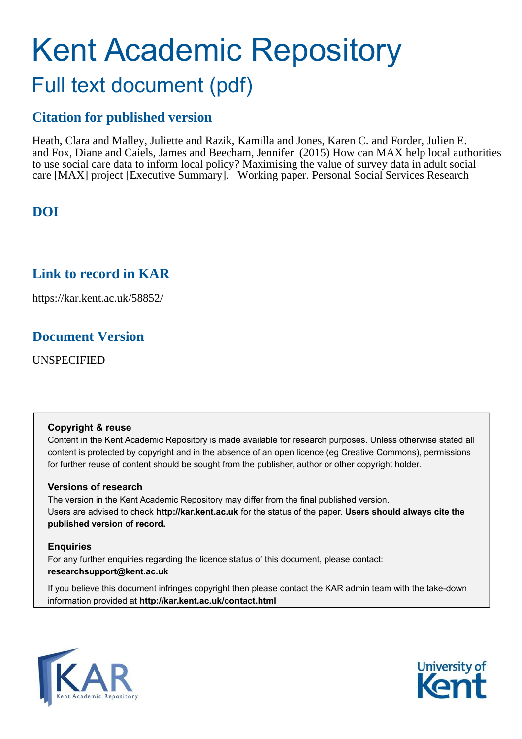# Kent Academic Repository Full text document (pdf)

# **Citation for published version**

Heath, Clara and Malley, Juliette and Razik, Kamilla and Jones, Karen C. and Forder, Julien E. and Fox, Diane and Caiels, James and Beecham, Jennifer (2015) How can MAX help local authorities to use social care data to inform local policy? Maximising the value of survey data in adult social care [MAX] project [Executive Summary]. Working paper. Personal Social Services Research

# **DOI**

## **Link to record in KAR**

https://kar.kent.ac.uk/58852/

## **Document Version**

UNSPECIFIED

#### **Copyright & reuse**

Content in the Kent Academic Repository is made available for research purposes. Unless otherwise stated all content is protected by copyright and in the absence of an open licence (eg Creative Commons), permissions for further reuse of content should be sought from the publisher, author or other copyright holder.

#### **Versions of research**

The version in the Kent Academic Repository may differ from the final published version. Users are advised to check **http://kar.kent.ac.uk** for the status of the paper. **Users should always cite the published version of record.**

#### **Enquiries**

For any further enquiries regarding the licence status of this document, please contact: **researchsupport@kent.ac.uk**

If you believe this document infringes copyright then please contact the KAR admin team with the take-down information provided at **http://kar.kent.ac.uk/contact.html**



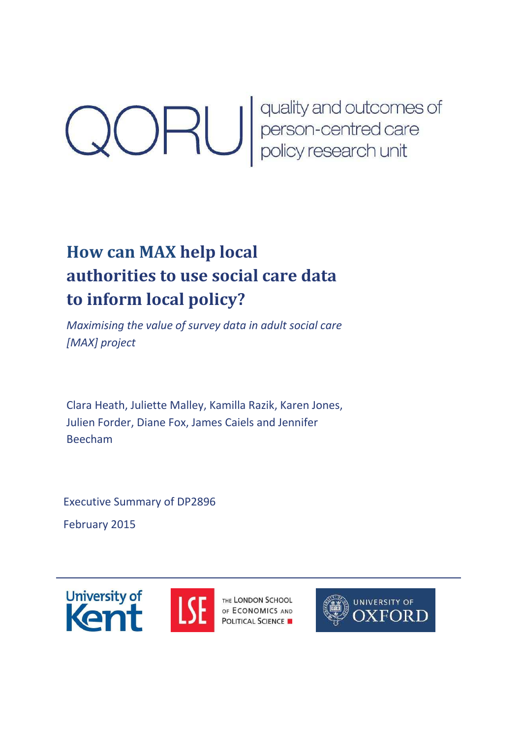**CORU** quality and outcomes of<br>person-centred care<br>policy research unit

# **How can MAX help local authorities to use social care data to inform local policy?**

*Maximising the value of survey data in adult social care [MAX] project* 

Clara Heath, Juliette Malley, Kamilla Razik, Karen Jones, Julien Forder, Diane Fox, James Caiels and Jennifer Beecham

Executive Summary of DP2896

February 2015





THE LONDON SCHOOL **EXERCISE THE LONDON SCHOOL POLITICAL SCIENCE** 

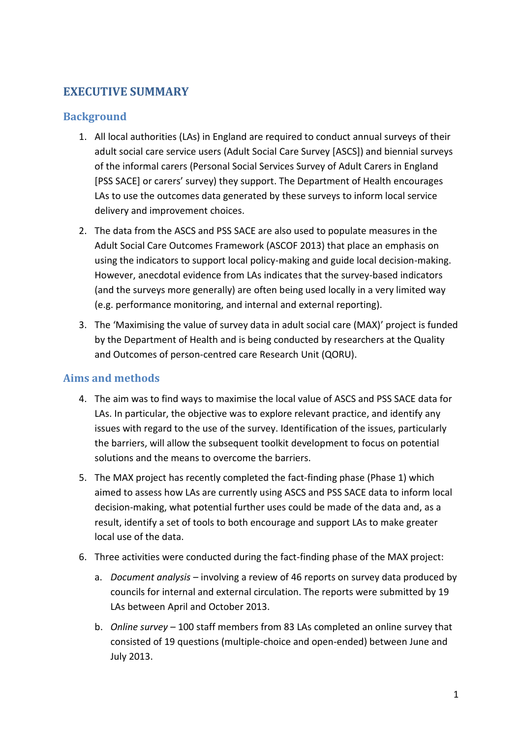#### **EXECUTIVE SUMMARY**

#### **Background**

- 1. All local authorities (LAs) in England are required to conduct annual surveys of their adult social care service users (Adult Social Care Survey [ASCS]) and biennial surveys of the informal carers (Personal Social Services Survey of Adult Carers in England [PSS SACE] or carers' survey) they support. The Department of Health encourages LAs to use the outcomes data generated by these surveys to inform local service delivery and improvement choices.
- 2. The data from the ASCS and PSS SACE are also used to populate measures in the Adult Social Care Outcomes Framework (ASCOF 2013) that place an emphasis on using the indicators to support local policy-making and guide local decision-making. However, anecdotal evidence from LAs indicates that the survey-based indicators (and the surveys more generally) are often being used locally in a very limited way (e.g. performance monitoring, and internal and external reporting).
- 3. The 'Maximising the value of survey data in adult social care (MAX)' project is funded by the Department of Health and is being conducted by researchers at the Quality and Outcomes of person-centred care Research Unit (QORU).

#### **Aims and methods**

- 4. The aim was to find ways to maximise the local value of ASCS and PSS SACE data for LAs. In particular, the objective was to explore relevant practice, and identify any issues with regard to the use of the survey. Identification of the issues, particularly the barriers, will allow the subsequent toolkit development to focus on potential solutions and the means to overcome the barriers.
- 5. The MAX project has recently completed the fact-finding phase (Phase 1) which aimed to assess how LAs are currently using ASCS and PSS SACE data to inform local decision-making, what potential further uses could be made of the data and, as a result, identify a set of tools to both encourage and support LAs to make greater local use of the data.
- 6. Three activities were conducted during the fact-finding phase of the MAX project:
	- a. *Document analysis* involving a review of 46 reports on survey data produced by councils for internal and external circulation. The reports were submitted by 19 LAs between April and October 2013.
	- b. *Online survey* 100 staff members from 83 LAs completed an online survey that consisted of 19 questions (multiple-choice and open-ended) between June and July 2013.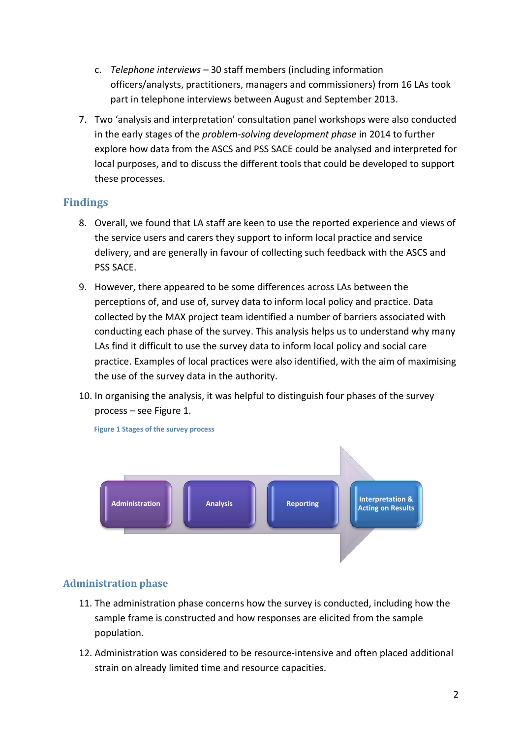- c. *Telephone interviews* 30 staff members (including information officers/analysts, practitioners, managers and commissioners) from 16 LAs took part in telephone interviews between August and September 2013.
- 7. Two 'analysis and interpretation' consultation panel workshops were also conducted in the early stages of the *problem-solving development phase* in 2014 to further explore how data from the ASCS and PSS SACE could be analysed and interpreted for local purposes, and to discuss the different tools that could be developed to support these processes.

#### **Findings**

- 8. Overall, we found that LA staff are keen to use the reported experience and views of the service users and carers they support to inform local practice and service delivery, and are generally in favour of collecting such feedback with the ASCS and PSS SACE.
- 9. However, there appeared to be some differences across LAs between the perceptions of, and use of, survey data to inform local policy and practice. Data collected by the MAX project team identified a number of barriers associated with conducting each phase of the survey. This analysis helps us to understand why many LAs find it difficult to use the survey data to inform local policy and social care practice. Examples of local practices were also identified, with the aim of maximising the use of the survey data in the authority.
- 10. In organising the analysis, it was helpful to distinguish four phases of the survey process - see Figure 1.



#### **Administration phase**

- 11. The administration phase concerns how the survey is conducted, including how the sample frame is constructed and how responses are elicited from the sample population.
- 12. Administration was considered to be resource-intensive and often placed additional strain on already limited time and resource capacities.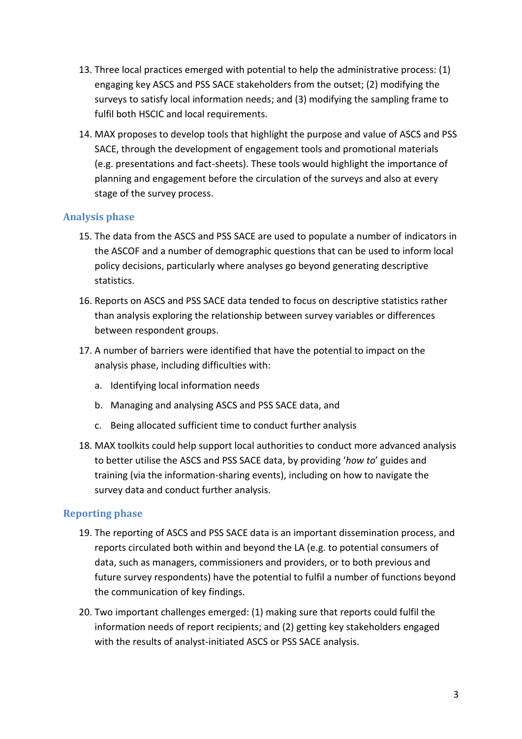- 13. Three local practices emerged with potential to help the administrative process: (1) engaging key ASCS and PSS SACE stakeholders from the outset; (2) modifying the surveys to satisfy local information needs; and (3) modifying the sampling frame to fulfil both HSCIC and local requirements.
- 14. MAX proposes to develop tools that highlight the purpose and value of ASCS and PSS SACE, through the development of engagement tools and promotional materials (e.g. presentations and fact-sheets). These tools would highlight the importance of planning and engagement before the circulation of the surveys and also at every stage of the survey process.

#### **Analysis phase**

- 15. The data from the ASCS and PSS SACE are used to populate a number of indicators in the ASCOF and a number of demographic questions that can be used to inform local policy decisions, particularly where analyses go beyond generating descriptive statistics.
- 16. Reports on ASCS and PSS SACE data tended to focus on descriptive statistics rather than analysis exploring the relationship between survey variables or differences between respondent groups.
- 17. A number of barriers were identified that have the potential to impact on the analysis phase, including difficulties with:
	- a. Identifying local information needs
	- b. Managing and analysing ASCS and PSS SACE data, and
	- c. Being allocated sufficient time to conduct further analysis
- 18. MAX toolkits could help support local authorities to conduct more advanced analysis to better utilise the ASCS and PSS SACE data, by providing 'how to' guides and training (via the information-sharing events), including on how to navigate the survey data and conduct further analysis.

#### **Reporting phase**

- 19. The reporting of ASCS and PSS SACE data is an important dissemination process, and reports circulated both within and beyond the LA (e.g. to potential consumers of data, such as managers, commissioners and providers, or to both previous and future survey respondents) have the potential to fulfil a number of functions beyond the communication of key findings.
- 20. Two important challenges emerged: (1) making sure that reports could fulfil the information needs of report recipients; and (2) getting key stakeholders engaged with the results of analyst-initiated ASCS or PSS SACE analysis.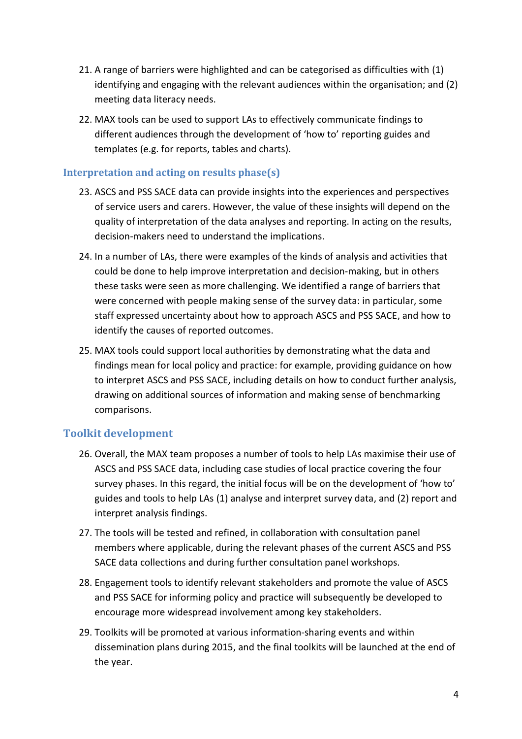- 21. A range of barriers were highlighted and can be categorised as difficulties with (1) identifying and engaging with the relevant audiences within the organisation; and (2) meeting data literacy needs.
- 22. MAX tools can be used to support LAs to effectively communicate findings to different audiences through the development of 'how to' reporting guides and templates (e.g. for reports, tables and charts).

#### **Interpretation and acting on results phase(s)**

- 23. ASCS and PSS SACE data can provide insights into the experiences and perspectives of service users and carers. However, the value of these insights will depend on the quality of interpretation of the data analyses and reporting. In acting on the results, decision-makers need to understand the implications.
- 24. In a number of LAs, there were examples of the kinds of analysis and activities that could be done to help improve interpretation and decision-making, but in others these tasks were seen as more challenging. We identified a range of barriers that were concerned with people making sense of the survey data: in particular, some staff expressed uncertainty about how to approach ASCS and PSS SACE, and how to identify the causes of reported outcomes.
- 25. MAX tools could support local authorities by demonstrating what the data and findings mean for local policy and practice: for example, providing guidance on how to interpret ASCS and PSS SACE, including details on how to conduct further analysis, drawing on additional sources of information and making sense of benchmarking comparisons.

#### **Toolkit development**

- 26. Overall, the MAX team proposes a number of tools to help LAs maximise their use of ASCS and PSS SACE data, including case studies of local practice covering the four survey phases. In this regard, the initial focus will be on the development of 'how to' guides and tools to help LAs (1) analyse and interpret survey data, and (2) report and interpret analysis findings.
- 27. The tools will be tested and refined, in collaboration with consultation panel members where applicable, during the relevant phases of the current ASCS and PSS SACE data collections and during further consultation panel workshops.
- 28. Engagement tools to identify relevant stakeholders and promote the value of ASCS and PSS SACE for informing policy and practice will subsequently be developed to encourage more widespread involvement among key stakeholders.
- 29. Toolkits will be promoted at various information-sharing events and within dissemination plans during 2015, and the final toolkits will be launched at the end of the year.